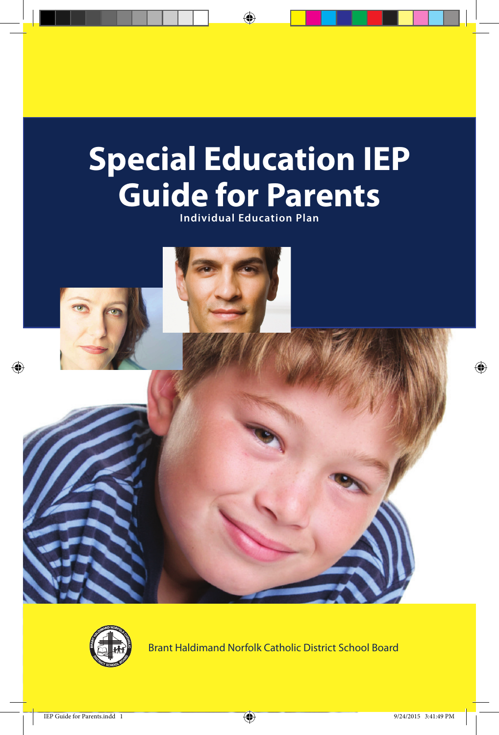# **Special Education IEP Guide for Parents**

 $\bigoplus$ 

**Individual Education Plan**





Brant Haldimand Norfolk Catholic District School Board

⊕

⊕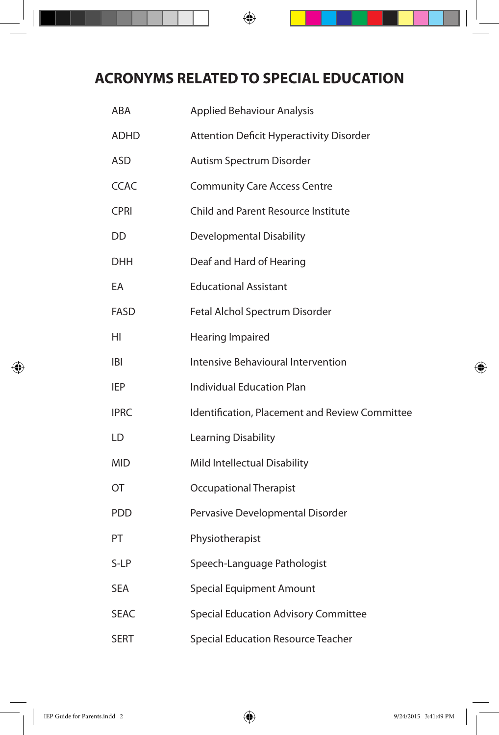## **ACRONYMS RELATED TO SPECIAL EDUCATION**

 $\bigoplus$ 

| ABA         | <b>Applied Behaviour Analysis</b>               |
|-------------|-------------------------------------------------|
| <b>ADHD</b> | <b>Attention Deficit Hyperactivity Disorder</b> |
| <b>ASD</b>  | Autism Spectrum Disorder                        |
| <b>CCAC</b> | <b>Community Care Access Centre</b>             |
| <b>CPRI</b> | Child and Parent Resource Institute             |
| DD.         | Developmental Disability                        |
| <b>DHH</b>  | Deaf and Hard of Hearing                        |
| EA          | <b>Educational Assistant</b>                    |
| FASD        | Fetal Alchol Spectrum Disorder                  |
| HI.         | Hearing Impaired                                |
| IBI         | Intensive Behavioural Intervention              |
| IEP         | <b>Individual Education Plan</b>                |
| <b>IPRC</b> | Identification, Placement and Review Committee  |
| LD          | Learning Disability                             |
| <b>MID</b>  | Mild Intellectual Disability                    |
| ОT          | <b>Occupational Therapist</b>                   |
| <b>PDD</b>  | Pervasive Developmental Disorder                |
| PT          | Physiotherapist                                 |
| S-LP        | Speech-Language Pathologist                     |
| <b>SEA</b>  | <b>Special Equipment Amount</b>                 |
| SEAC        | Special Education Advisory Committee            |
| <b>SERT</b> | Special Education Resource Teacher              |

⊕

⊕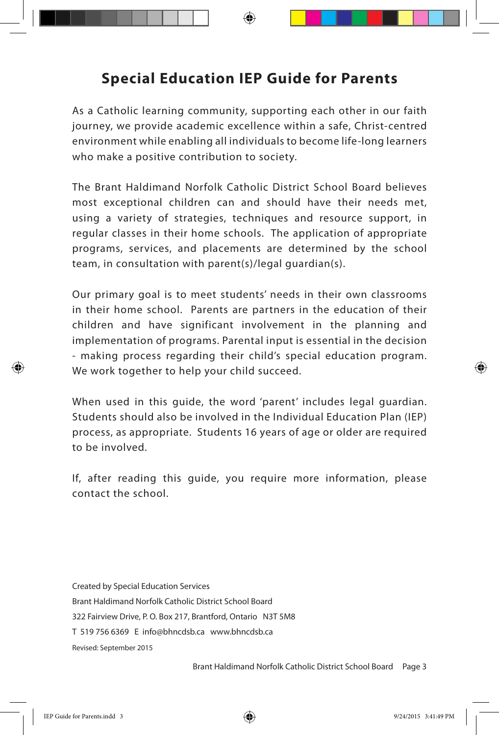## **Special Education IEP Guide for Parents**

As a Catholic learning community, supporting each other in our faith journey, we provide academic excellence within a safe, Christ-centred environment while enabling all individuals to become life-long learners who make a positive contribution to society.

The Brant Haldimand Norfolk Catholic District School Board believes most exceptional children can and should have their needs met, using a variety of strategies, techniques and resource support, in regular classes in their home schools. The application of appropriate programs, services, and placements are determined by the school team, in consultation with parent(s)/legal guardian(s).

Our primary goal is to meet students' needs in their own classrooms in their home school. Parents are partners in the education of their children and have significant involvement in the planning and implementation of programs. Parental input is essential in the decision - making process regarding their child's special education program. We work together to help your child succeed.

When used in this guide, the word 'parent' includes legal guardian. Students should also be involved in the Individual Education Plan (IEP) process, as appropriate. Students 16 years of age or older are required to be involved.

If, after reading this guide, you require more information, please contact the school.

Created by Special Education Services Brant Haldimand Norfolk Catholic District School Board 322 Fairview Drive, P. O. Box 217, Brantford, Ontario N3T 5M8 T 519 756 6369 E info@bhncdsb.ca www.bhncdsb.ca Revised: September 2015

Brant Haldimand Norfolk Catholic District School Board Page 3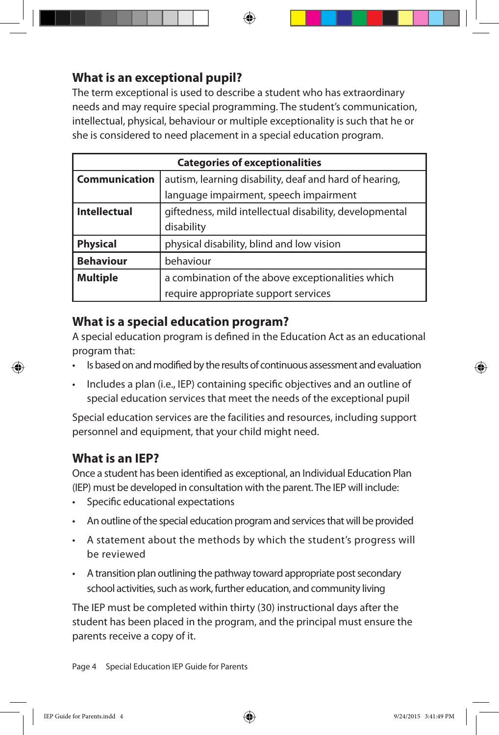#### **What is an exceptional pupil?**

The term exceptional is used to describe a student who has extraordinary needs and may require special programming. The student's communication, intellectual, physical, behaviour or multiple exceptionality is such that he or she is considered to need placement in a special education program.

|                      | <b>Categories of exceptionalities</b>                   |
|----------------------|---------------------------------------------------------|
| <b>Communication</b> | autism, learning disability, deaf and hard of hearing,  |
|                      | language impairment, speech impairment                  |
| <b>Intellectual</b>  | giftedness, mild intellectual disability, developmental |
|                      | disability                                              |
| <b>Physical</b>      | physical disability, blind and low vision               |
| <b>Behaviour</b>     | behaviour                                               |
| <b>Multiple</b>      | a combination of the above exceptionalities which       |
|                      | require appropriate support services                    |

#### **What is a special education program?**

A special education program is defined in the Education Act as an educational program that:

- Is based on and modified by the results of continuous assessment and evaluation
- Includes a plan (i.e., IEP) containing specific objectives and an outline of special education services that meet the needs of the exceptional pupil

Special education services are the facilities and resources, including support personnel and equipment, that your child might need.

#### **What is an IEP?**

Once a student has been identified as exceptional, an Individual Education Plan (IEP) must be developed in consultation with the parent. The IEP will include:

- Specific educational expectations
- An outline of the special education program and services that will be provided
- A statement about the methods by which the student's progress will be reviewed
- A transition plan outlining the pathway toward appropriate post secondary school activities, such as work, further education, and community living

The IEP must be completed within thirty (30) instructional days after the student has been placed in the program, and the principal must ensure the parents receive a copy of it.

Page 4 Special Education IEP Guide for Parents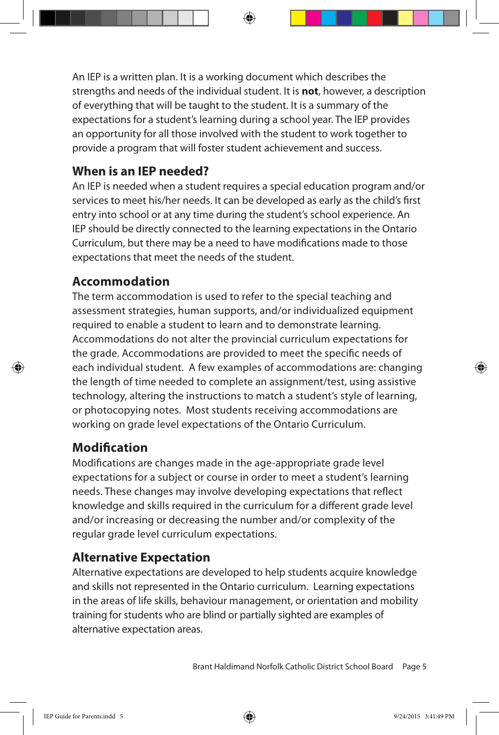An IEP is a written plan. It is a working document which describes the strengths and needs of the individual student. It is **not**, however, a description of everything that will be taught to the student. It is a summary of the expectations for a student's learning during a school year. The lEP provides an opportunity for all those involved with the student to work together to provide a program that will foster student achievement and success.

#### **When is an IEP needed?**

An IEP is needed when a student requires a special education program and/or services to meet his/her needs. It can be developed as early as the child's first entry into school or at any time during the student's school experience. An IEP should be directly connected to the learning expectations in the Ontario Curriculum, but there may be a need to have modifications made to those expectations that meet the needs of the student.

#### **Accommodation**

The term accommodation is used to refer to the special teaching and assessment strategies, human supports, and/or individualized equipment required to enable a student to learn and to demonstrate learning. Accommodations do not alter the provincial curriculum expectations for the grade. Accommodations are provided to meet the specific needs of each individual student. A few examples of accommodations are: changing the length of time needed to complete an assignment/test, using assistive technology, altering the instructions to match a student's style of learning, or photocopying notes. Most students receiving accommodations are working on grade level expectations of the Ontario Curriculum.

#### **Modification**

Modifications are changes made in the age-appropriate grade level expectations for a subject or course in order to meet a student's learning needs. These changes may involve developing expectations that reflect knowledge and skills required in the curriculum for a different grade level and/or increasing or decreasing the number and/or complexity of the regular grade level curriculum expectations.

#### **Alternative Expectation**

Alternative expectations are developed to help students acquire knowledge and skills not represented in the Ontario curriculum. Learning expectations in the areas of life skills, behaviour management, or orientation and mobility training for students who are blind or partially sighted are examples of alternative expectation areas.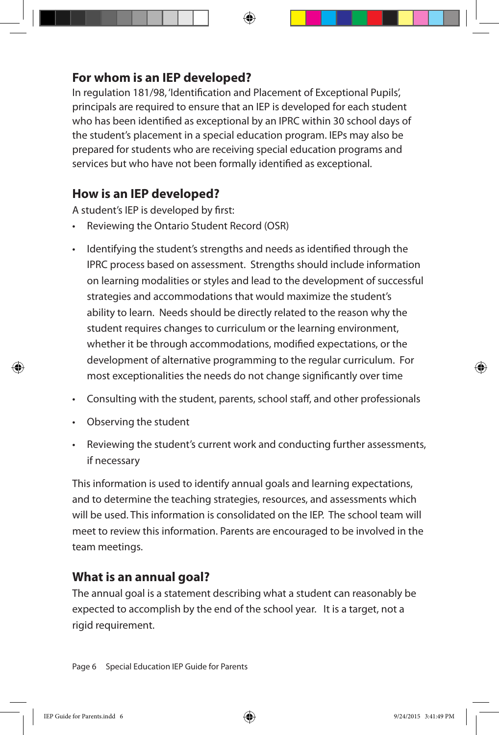#### **For whom is an IEP developed?**

In regulation 181/98, 'Identification and Placement of Exceptional Pupils', principals are required to ensure that an IEP is developed for each student who has been identified as exceptional by an IPRC within 30 school days of the student's placement in a special education program. IEPs may also be prepared for students who are receiving special education programs and services but who have not been formally identified as exceptional.

#### **How is an IEP developed?**

A student's IEP is developed by first:

- Reviewing the Ontario Student Record (OSR)
- Identifying the student's strengths and needs as identified through the IPRC process based on assessment. Strengths should include information on learning modalities or styles and lead to the development of successful strategies and accommodations that would maximize the student's ability to learn. Needs should be directly related to the reason why the student requires changes to curriculum or the learning environment, whether it be through accommodations, modified expectations, or the development of alternative programming to the regular curriculum. For most exceptionalities the needs do not change significantly over time
- Consulting with the student, parents, school staff, and other professionals
- • Observing the student

⊕

Reviewing the student's current work and conducting further assessments, if necessary

This information is used to identify annual goals and learning expectations, and to determine the teaching strategies, resources, and assessments which will be used. This information is consolidated on the IEP. The school team will meet to review this information. Parents are encouraged to be involved in the team meetings.

#### **What is an annual goal?**

The annual goal is a statement describing what a student can reasonably be expected to accomplish by the end of the school year. It is a target, not a rigid requirement.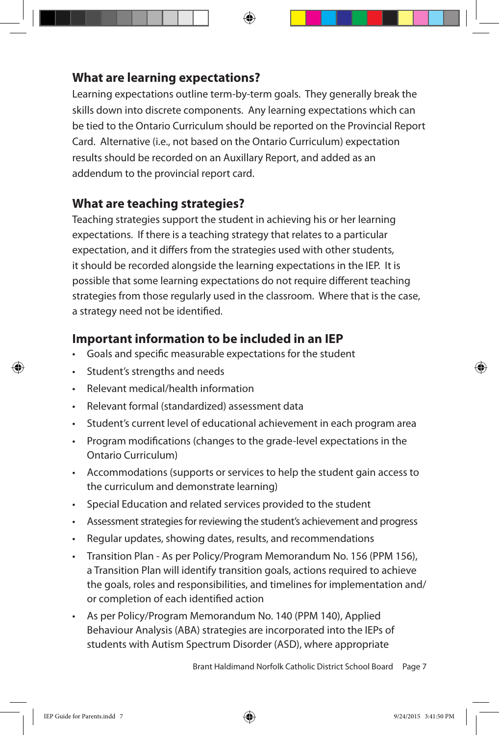#### **What are learning expectations?**

Learning expectations outline term-by-term goals. They generally break the skills down into discrete components. Any learning expectations which can be tied to the Ontario Curriculum should be reported on the Provincial Report Card. Alternative (i.e., not based on the Ontario Curriculum) expectation results should be recorded on an Auxillary Report, and added as an addendum to the provincial report card.

#### **What are teaching strategies?**

Teaching strategies support the student in achieving his or her learning expectations. If there is a teaching strategy that relates to a particular expectation, and it differs from the strategies used with other students, it should be recorded alongside the learning expectations in the IEP. It is possible that some learning expectations do not require different teaching strategies from those regularly used in the classroom. Where that is the case, a strategy need not be identified.

#### **Important information to be included in an IEP**

- Goals and specific measurable expectations for the student
- Student's strengths and needs
- Relevant medical/health information
- Relevant formal (standardized) assessment data
- Student's current level of educational achievement in each program area
- Program modifications (changes to the grade-level expectations in the Ontario Curriculum)
- • Accommodations (supports or services to help the student gain access to the curriculum and demonstrate learning)
- Special Education and related services provided to the student
- Assessment strategies for reviewing the student's achievement and progress
- Regular updates, showing dates, results, and recommendations
- Transition Plan As per Policy/Program Memorandum No. 156 (PPM 156), a Transition Plan will identify transition goals, actions required to achieve the goals, roles and responsibilities, and timelines for implementation and/ or completion of each identified action
- As per Policy/Program Memorandum No. 140 (PPM 140), Applied Behaviour Analysis (ABA) strategies are incorporated into the IEPs of students with Autism Spectrum Disorder (ASD), where appropriate

Brant Haldimand Norfolk Catholic District School Board Page 7

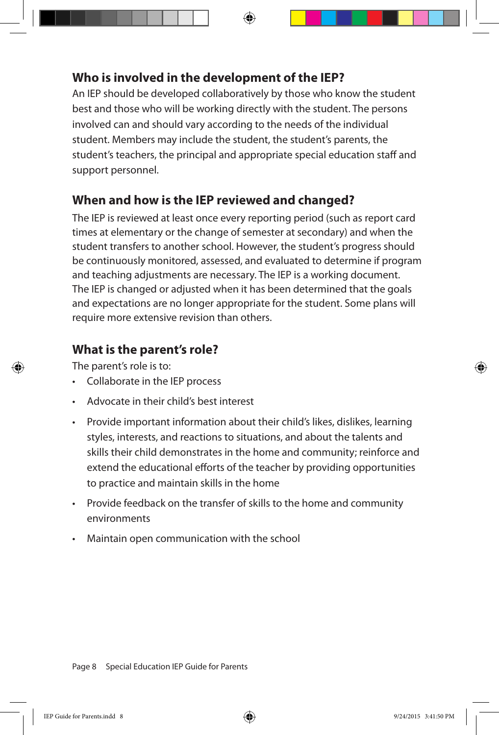#### **Who is involved in the development of the IEP?**

An IEP should be developed collaboratively by those who know the student best and those who will be working directly with the student. The persons involved can and should vary according to the needs of the individual student. Members may include the student, the student's parents, the student's teachers, the principal and appropriate special education staff and support personnel.

#### **When and how is the IEP reviewed and changed?**

The IEP is reviewed at least once every reporting period (such as report card times at elementary or the change of semester at secondary) and when the student transfers to another school. However, the student's progress should be continuously monitored, assessed, and evaluated to determine if program and teaching adjustments are necessary. The IEP is a working document. The IEP is changed or adjusted when it has been determined that the goals and expectations are no longer appropriate for the student. Some plans will require more extensive revision than others.

#### **What is the parent's role?**

The parent's role is to:

- • Collaborate in the IEP process
- Advocate in their child's best interest
- Provide important information about their child's likes, dislikes, learning styles, interests, and reactions to situations, and about the talents and skills their child demonstrates in the home and community; reinforce and extend the educational efforts of the teacher by providing opportunities to practice and maintain skills in the home
- Provide feedback on the transfer of skills to the home and community environments
- Maintain open communication with the school

Page 8 Special Education IEP Guide for Parents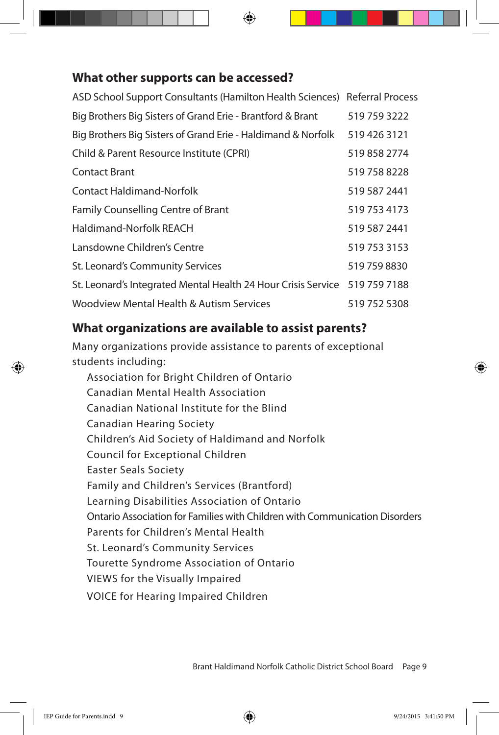#### **What other supports can be accessed?**

| ASD School Support Consultants (Hamilton Health Sciences) Referral Process |              |
|----------------------------------------------------------------------------|--------------|
| Big Brothers Big Sisters of Grand Erie - Brantford & Brant                 | 519 759 3222 |
| Big Brothers Big Sisters of Grand Erie - Haldimand & Norfolk               | 519 426 3121 |
| Child & Parent Resource Institute (CPRI)                                   | 519 858 2774 |
| <b>Contact Brant</b>                                                       | 519 758 8228 |
| <b>Contact Haldimand-Norfolk</b>                                           | 519 587 2441 |
| <b>Family Counselling Centre of Brant</b>                                  | 519 753 4173 |
| Haldimand-Norfolk REACH                                                    | 519 587 2441 |
| Lansdowne Children's Centre                                                | 519 753 3153 |
| St. Leonard's Community Services                                           | 519 759 8830 |
| St. Leonard's Integrated Mental Health 24 Hour Crisis Service 519 759 7188 |              |
| Woodview Mental Health & Autism Services                                   | 519 752 5308 |

#### **What organizations are available to assist parents?**

Many organizations provide assistance to parents of exceptional students including:

Association for Bright Children of Ontario Canadian Mental Health Association Canadian National Institute for the Blind Canadian Hearing Society Children's Aid Society of Haldimand and Norfolk Council for Exceptional Children Easter Seals Society Family and Children's Services (Brantford) Learning Disabilities Association of Ontario Ontario Association for Families with Children with Communication Disorders Parents for Children's Mental Health St. Leonard's Community Services Tourette Syndrome Association of Ontario VIEWS for the Visually Impaired VOICE for Hearing Impaired Children

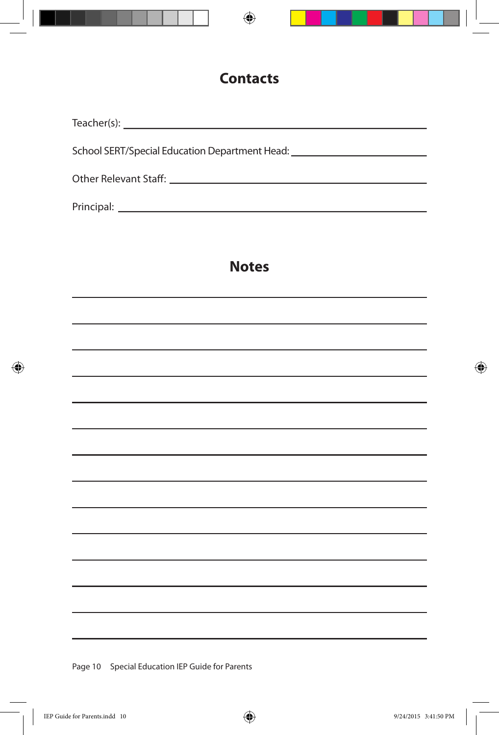

## **Notes**

and the control of the control of the control of the control of the control of the control of the control of the

Page 10 Special Education IEP Guide for Parents

⊕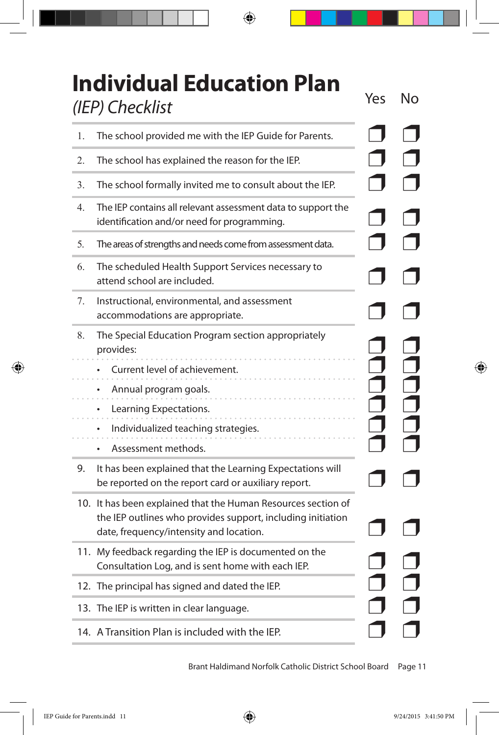|                 | <b>Individual Education Plan</b> |  |
|-----------------|----------------------------------|--|
| (IEP) Checklist |                                  |  |

 $\bigoplus$ 

| 1. | The school provided me with the IEP Guide for Parents.                                                                                                                  |  |
|----|-------------------------------------------------------------------------------------------------------------------------------------------------------------------------|--|
| 2. | The school has explained the reason for the IEP.                                                                                                                        |  |
| 3. | The school formally invited me to consult about the IEP.                                                                                                                |  |
| 4. | The IEP contains all relevant assessment data to support the<br>identification and/or need for programming.                                                             |  |
| 5. | The areas of strengths and needs come from assessment data.                                                                                                             |  |
| 6. | The scheduled Health Support Services necessary to<br>attend school are included.                                                                                       |  |
| 7. | Instructional, environmental, and assessment<br>accommodations are appropriate.                                                                                         |  |
| 8. | The Special Education Program section appropriately<br>provides:                                                                                                        |  |
|    | Current level of achievement.                                                                                                                                           |  |
|    | Annual program goals.<br>٠                                                                                                                                              |  |
|    | Learning Expectations.                                                                                                                                                  |  |
|    | Individualized teaching strategies.<br>٠                                                                                                                                |  |
|    | Assessment methods.<br>٠                                                                                                                                                |  |
| 9. | It has been explained that the Learning Expectations will<br>be reported on the report card or auxiliary report.                                                        |  |
|    | 10. It has been explained that the Human Resources section of<br>the IEP outlines who provides support, including initiation<br>date, frequency/intensity and location. |  |
|    | 11. My feedback regarding the IEP is documented on the<br>Consultation Log, and is sent home with each IEP.                                                             |  |
|    | 12. The principal has signed and dated the IEP.                                                                                                                         |  |
|    | 13. The IEP is written in clear language.                                                                                                                               |  |
|    | 14. A Transition Plan is included with the IEP.                                                                                                                         |  |

Brant Haldimand Norfolk Catholic District School Board Page 11

 $\overline{\phantom{a}}$ 

 $\bigoplus$ 

 $\overline{\phantom{a}}$ 

 $\bigoplus$ 

Yes No